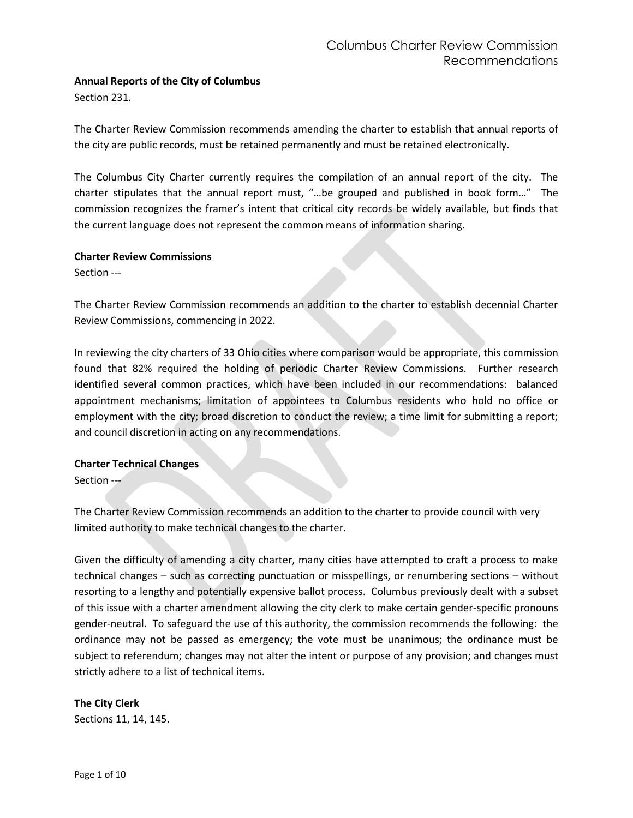# **Annual Reports of the City of Columbus**

Section 231.

The Charter Review Commission recommends amending the charter to establish that annual reports of the city are public records, must be retained permanently and must be retained electronically.

The Columbus City Charter currently requires the compilation of an annual report of the city. The charter stipulates that the annual report must, "…be grouped and published in book form…" The commission recognizes the framer's intent that critical city records be widely available, but finds that the current language does not represent the common means of information sharing.

#### **Charter Review Commissions**

Section ---

The Charter Review Commission recommends an addition to the charter to establish decennial Charter Review Commissions, commencing in 2022.

In reviewing the city charters of 33 Ohio cities where comparison would be appropriate, this commission found that 82% required the holding of periodic Charter Review Commissions. Further research identified several common practices, which have been included in our recommendations: balanced appointment mechanisms; limitation of appointees to Columbus residents who hold no office or employment with the city; broad discretion to conduct the review; a time limit for submitting a report; and council discretion in acting on any recommendations.

## **Charter Technical Changes**

Section ---

The Charter Review Commission recommends an addition to the charter to provide council with very limited authority to make technical changes to the charter.

Given the difficulty of amending a city charter, many cities have attempted to craft a process to make technical changes – such as correcting punctuation or misspellings, or renumbering sections – without resorting to a lengthy and potentially expensive ballot process. Columbus previously dealt with a subset of this issue with a charter amendment allowing the city clerk to make certain gender-specific pronouns gender-neutral. To safeguard the use of this authority, the commission recommends the following: the ordinance may not be passed as emergency; the vote must be unanimous; the ordinance must be subject to referendum; changes may not alter the intent or purpose of any provision; and changes must strictly adhere to a list of technical items.

## **The City Clerk**

Sections 11, 14, 145.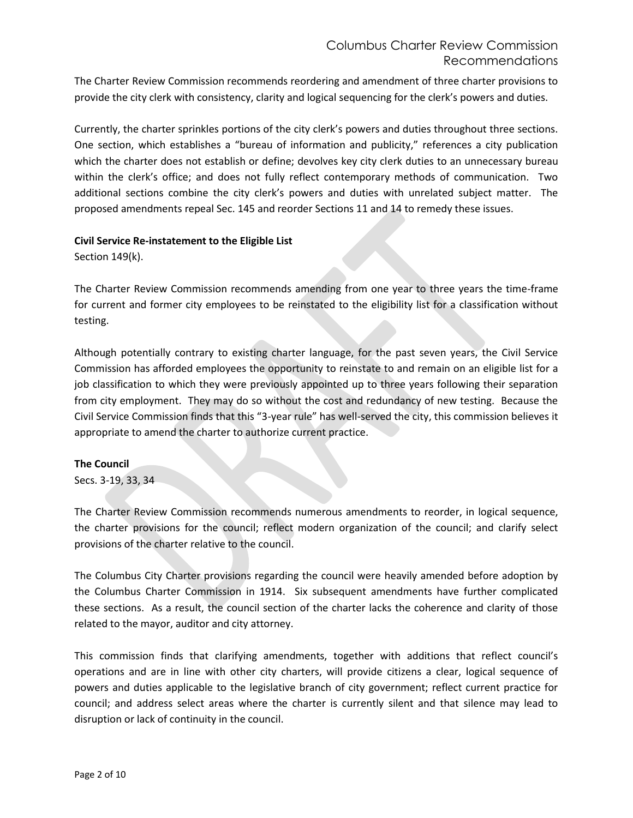The Charter Review Commission recommends reordering and amendment of three charter provisions to provide the city clerk with consistency, clarity and logical sequencing for the clerk's powers and duties.

Currently, the charter sprinkles portions of the city clerk's powers and duties throughout three sections. One section, which establishes a "bureau of information and publicity," references a city publication which the charter does not establish or define; devolves key city clerk duties to an unnecessary bureau within the clerk's office; and does not fully reflect contemporary methods of communication. Two additional sections combine the city clerk's powers and duties with unrelated subject matter. The proposed amendments repeal Sec. 145 and reorder Sections 11 and 14 to remedy these issues.

#### **Civil Service Re-instatement to the Eligible List**

Section 149(k).

The Charter Review Commission recommends amending from one year to three years the time-frame for current and former city employees to be reinstated to the eligibility list for a classification without testing.

Although potentially contrary to existing charter language, for the past seven years, the Civil Service Commission has afforded employees the opportunity to reinstate to and remain on an eligible list for a job classification to which they were previously appointed up to three years following their separation from city employment. They may do so without the cost and redundancy of new testing. Because the Civil Service Commission finds that this "3-year rule" has well-served the city, this commission believes it appropriate to amend the charter to authorize current practice.

#### **The Council**

Secs. 3-19, 33, 34

The Charter Review Commission recommends numerous amendments to reorder, in logical sequence, the charter provisions for the council; reflect modern organization of the council; and clarify select provisions of the charter relative to the council.

The Columbus City Charter provisions regarding the council were heavily amended before adoption by the Columbus Charter Commission in 1914. Six subsequent amendments have further complicated these sections. As a result, the council section of the charter lacks the coherence and clarity of those related to the mayor, auditor and city attorney.

This commission finds that clarifying amendments, together with additions that reflect council's operations and are in line with other city charters, will provide citizens a clear, logical sequence of powers and duties applicable to the legislative branch of city government; reflect current practice for council; and address select areas where the charter is currently silent and that silence may lead to disruption or lack of continuity in the council.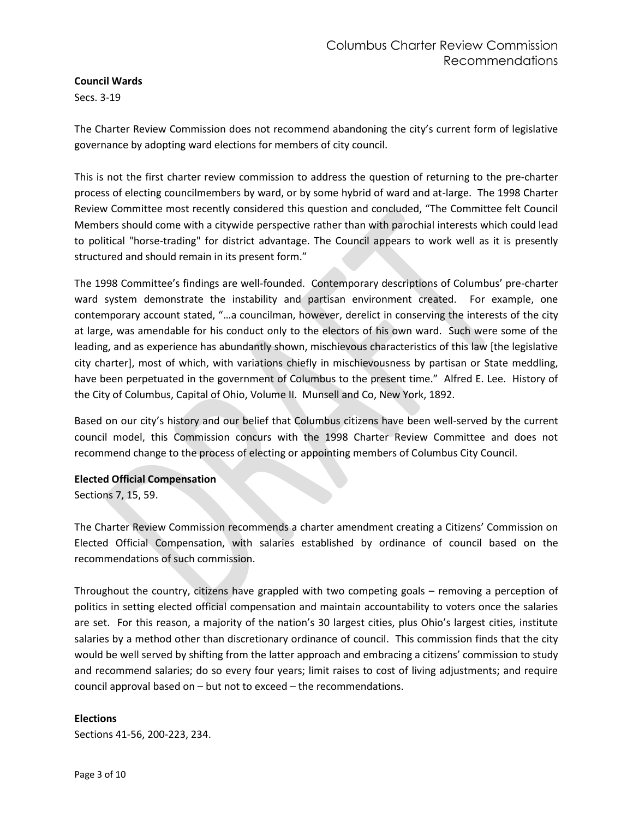# **Council Wards**

Secs. 3-19

The Charter Review Commission does not recommend abandoning the city's current form of legislative governance by adopting ward elections for members of city council.

This is not the first charter review commission to address the question of returning to the pre-charter process of electing councilmembers by ward, or by some hybrid of ward and at-large. The 1998 Charter Review Committee most recently considered this question and concluded, "The Committee felt Council Members should come with a citywide perspective rather than with parochial interests which could lead to political "horse-trading" for district advantage. The Council appears to work well as it is presently structured and should remain in its present form."

The 1998 Committee's findings are well-founded. Contemporary descriptions of Columbus' pre-charter ward system demonstrate the instability and partisan environment created. For example, one contemporary account stated, "…a councilman, however, derelict in conserving the interests of the city at large, was amendable for his conduct only to the electors of his own ward. Such were some of the leading, and as experience has abundantly shown, mischievous characteristics of this law [the legislative city charter], most of which, with variations chiefly in mischievousness by partisan or State meddling, have been perpetuated in the government of Columbus to the present time." Alfred E. Lee. History of the City of Columbus, Capital of Ohio, Volume II. Munsell and Co, New York, 1892.

Based on our city's history and our belief that Columbus citizens have been well-served by the current council model, this Commission concurs with the 1998 Charter Review Committee and does not recommend change to the process of electing or appointing members of Columbus City Council.

#### **Elected Official Compensation**

Sections 7, 15, 59.

The Charter Review Commission recommends a charter amendment creating a Citizens' Commission on Elected Official Compensation, with salaries established by ordinance of council based on the recommendations of such commission.

Throughout the country, citizens have grappled with two competing goals – removing a perception of politics in setting elected official compensation and maintain accountability to voters once the salaries are set. For this reason, a majority of the nation's 30 largest cities, plus Ohio's largest cities, institute salaries by a method other than discretionary ordinance of council. This commission finds that the city would be well served by shifting from the latter approach and embracing a citizens' commission to study and recommend salaries; do so every four years; limit raises to cost of living adjustments; and require council approval based on – but not to exceed – the recommendations.

## **Elections**

Sections 41-56, 200-223, 234.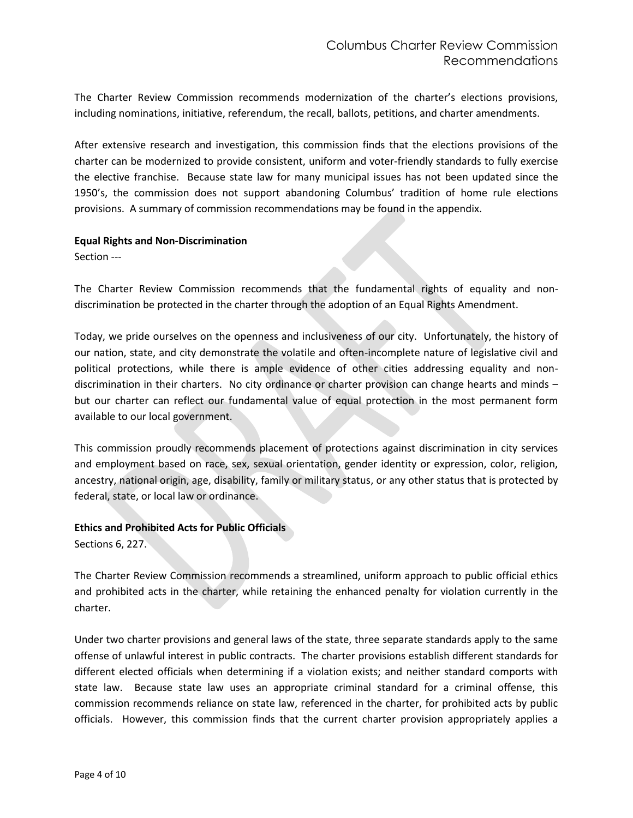The Charter Review Commission recommends modernization of the charter's elections provisions, including nominations, initiative, referendum, the recall, ballots, petitions, and charter amendments.

After extensive research and investigation, this commission finds that the elections provisions of the charter can be modernized to provide consistent, uniform and voter-friendly standards to fully exercise the elective franchise. Because state law for many municipal issues has not been updated since the 1950's, the commission does not support abandoning Columbus' tradition of home rule elections provisions. A summary of commission recommendations may be found in the appendix.

#### **Equal Rights and Non-Discrimination**

Section ---

The Charter Review Commission recommends that the fundamental rights of equality and nondiscrimination be protected in the charter through the adoption of an Equal Rights Amendment.

Today, we pride ourselves on the openness and inclusiveness of our city. Unfortunately, the history of our nation, state, and city demonstrate the volatile and often-incomplete nature of legislative civil and political protections, while there is ample evidence of other cities addressing equality and nondiscrimination in their charters. No city ordinance or charter provision can change hearts and minds – but our charter can reflect our fundamental value of equal protection in the most permanent form available to our local government.

This commission proudly recommends placement of protections against discrimination in city services and employment based on race, sex, sexual orientation, gender identity or expression, color, religion, ancestry, national origin, age, disability, family or military status, or any other status that is protected by federal, state, or local law or ordinance.

## **Ethics and Prohibited Acts for Public Officials**

Sections 6, 227.

The Charter Review Commission recommends a streamlined, uniform approach to public official ethics and prohibited acts in the charter, while retaining the enhanced penalty for violation currently in the charter.

Under two charter provisions and general laws of the state, three separate standards apply to the same offense of unlawful interest in public contracts. The charter provisions establish different standards for different elected officials when determining if a violation exists; and neither standard comports with state law. Because state law uses an appropriate criminal standard for a criminal offense, this commission recommends reliance on state law, referenced in the charter, for prohibited acts by public officials. However, this commission finds that the current charter provision appropriately applies a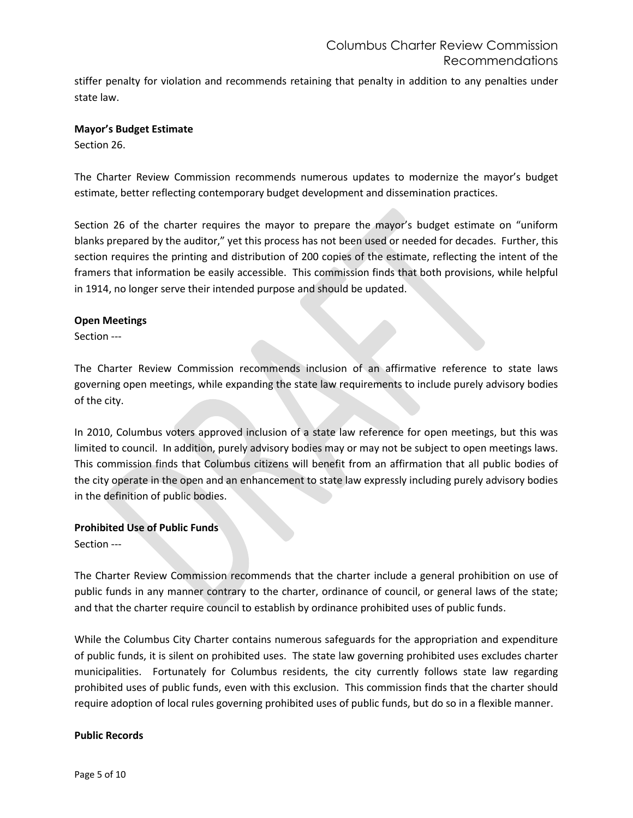stiffer penalty for violation and recommends retaining that penalty in addition to any penalties under state law.

#### **Mayor's Budget Estimate**

Section 26.

The Charter Review Commission recommends numerous updates to modernize the mayor's budget estimate, better reflecting contemporary budget development and dissemination practices.

Section 26 of the charter requires the mayor to prepare the mayor's budget estimate on "uniform blanks prepared by the auditor," yet this process has not been used or needed for decades. Further, this section requires the printing and distribution of 200 copies of the estimate, reflecting the intent of the framers that information be easily accessible. This commission finds that both provisions, while helpful in 1914, no longer serve their intended purpose and should be updated.

#### **Open Meetings**

Section ---

The Charter Review Commission recommends inclusion of an affirmative reference to state laws governing open meetings, while expanding the state law requirements to include purely advisory bodies of the city.

In 2010, Columbus voters approved inclusion of a state law reference for open meetings, but this was limited to council. In addition, purely advisory bodies may or may not be subject to open meetings laws. This commission finds that Columbus citizens will benefit from an affirmation that all public bodies of the city operate in the open and an enhancement to state law expressly including purely advisory bodies in the definition of public bodies.

## **Prohibited Use of Public Funds**

Section ---

The Charter Review Commission recommends that the charter include a general prohibition on use of public funds in any manner contrary to the charter, ordinance of council, or general laws of the state; and that the charter require council to establish by ordinance prohibited uses of public funds.

While the Columbus City Charter contains numerous safeguards for the appropriation and expenditure of public funds, it is silent on prohibited uses. The state law governing prohibited uses excludes charter municipalities. Fortunately for Columbus residents, the city currently follows state law regarding prohibited uses of public funds, even with this exclusion. This commission finds that the charter should require adoption of local rules governing prohibited uses of public funds, but do so in a flexible manner.

## **Public Records**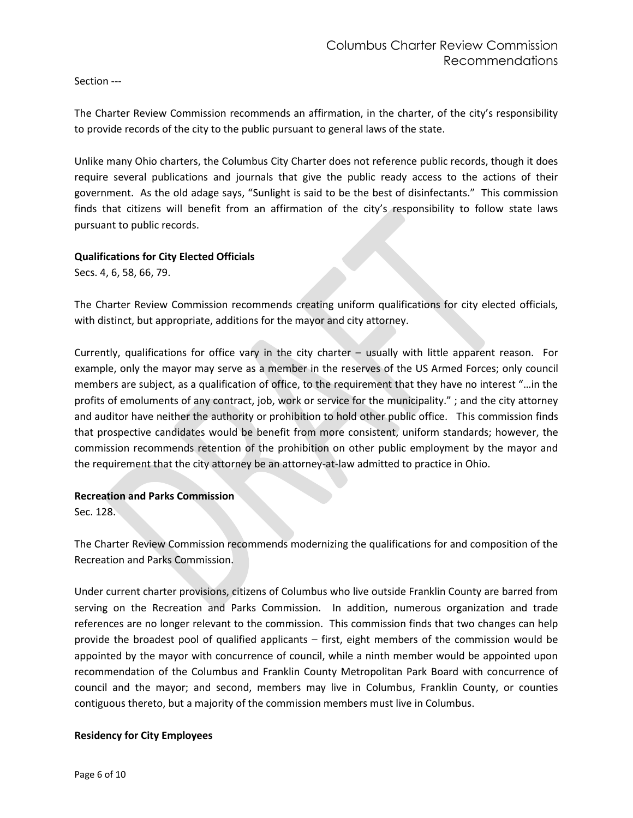Section ---

The Charter Review Commission recommends an affirmation, in the charter, of the city's responsibility to provide records of the city to the public pursuant to general laws of the state.

Unlike many Ohio charters, the Columbus City Charter does not reference public records, though it does require several publications and journals that give the public ready access to the actions of their government. As the old adage says, "Sunlight is said to be the best of disinfectants." This commission finds that citizens will benefit from an affirmation of the city's responsibility to follow state laws pursuant to public records.

## **Qualifications for City Elected Officials**

Secs. 4, 6, 58, 66, 79.

The Charter Review Commission recommends creating uniform qualifications for city elected officials, with distinct, but appropriate, additions for the mayor and city attorney.

Currently, qualifications for office vary in the city charter – usually with little apparent reason. For example, only the mayor may serve as a member in the reserves of the US Armed Forces; only council members are subject, as a qualification of office, to the requirement that they have no interest "…in the profits of emoluments of any contract, job, work or service for the municipality." ; and the city attorney and auditor have neither the authority or prohibition to hold other public office. This commission finds that prospective candidates would be benefit from more consistent, uniform standards; however, the commission recommends retention of the prohibition on other public employment by the mayor and the requirement that the city attorney be an attorney-at-law admitted to practice in Ohio.

## **Recreation and Parks Commission**

Sec. 128.

The Charter Review Commission recommends modernizing the qualifications for and composition of the Recreation and Parks Commission.

Under current charter provisions, citizens of Columbus who live outside Franklin County are barred from serving on the Recreation and Parks Commission. In addition, numerous organization and trade references are no longer relevant to the commission. This commission finds that two changes can help provide the broadest pool of qualified applicants – first, eight members of the commission would be appointed by the mayor with concurrence of council, while a ninth member would be appointed upon recommendation of the Columbus and Franklin County Metropolitan Park Board with concurrence of council and the mayor; and second, members may live in Columbus, Franklin County, or counties contiguous thereto, but a majority of the commission members must live in Columbus.

## **Residency for City Employees**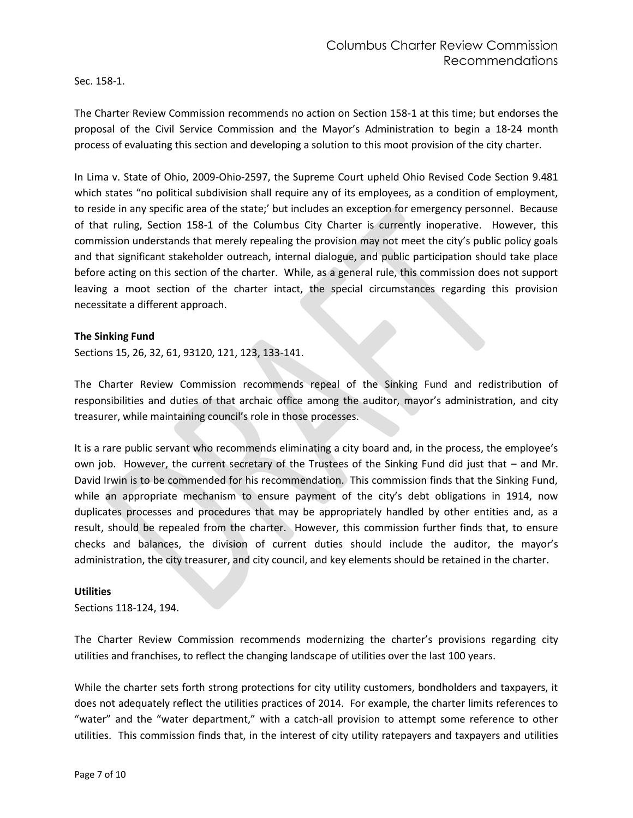Sec. 158-1.

The Charter Review Commission recommends no action on Section 158-1 at this time; but endorses the proposal of the Civil Service Commission and the Mayor's Administration to begin a 18-24 month process of evaluating this section and developing a solution to this moot provision of the city charter.

In Lima v. State of Ohio, 2009-Ohio-2597, the Supreme Court upheld Ohio Revised Code Section 9.481 which states "no political subdivision shall require any of its employees, as a condition of employment, to reside in any specific area of the state;' but includes an exception for emergency personnel. Because of that ruling, Section 158-1 of the Columbus City Charter is currently inoperative. However, this commission understands that merely repealing the provision may not meet the city's public policy goals and that significant stakeholder outreach, internal dialogue, and public participation should take place before acting on this section of the charter. While, as a general rule, this commission does not support leaving a moot section of the charter intact, the special circumstances regarding this provision necessitate a different approach.

#### **The Sinking Fund**

Sections 15, 26, 32, 61, 93120, 121, 123, 133-141.

The Charter Review Commission recommends repeal of the Sinking Fund and redistribution of responsibilities and duties of that archaic office among the auditor, mayor's administration, and city treasurer, while maintaining council's role in those processes.

It is a rare public servant who recommends eliminating a city board and, in the process, the employee's own job. However, the current secretary of the Trustees of the Sinking Fund did just that – and Mr. David Irwin is to be commended for his recommendation. This commission finds that the Sinking Fund, while an appropriate mechanism to ensure payment of the city's debt obligations in 1914, now duplicates processes and procedures that may be appropriately handled by other entities and, as a result, should be repealed from the charter. However, this commission further finds that, to ensure checks and balances, the division of current duties should include the auditor, the mayor's administration, the city treasurer, and city council, and key elements should be retained in the charter.

#### **Utilities**

Sections 118-124, 194.

The Charter Review Commission recommends modernizing the charter's provisions regarding city utilities and franchises, to reflect the changing landscape of utilities over the last 100 years.

While the charter sets forth strong protections for city utility customers, bondholders and taxpayers, it does not adequately reflect the utilities practices of 2014. For example, the charter limits references to "water" and the "water department," with a catch-all provision to attempt some reference to other utilities. This commission finds that, in the interest of city utility ratepayers and taxpayers and utilities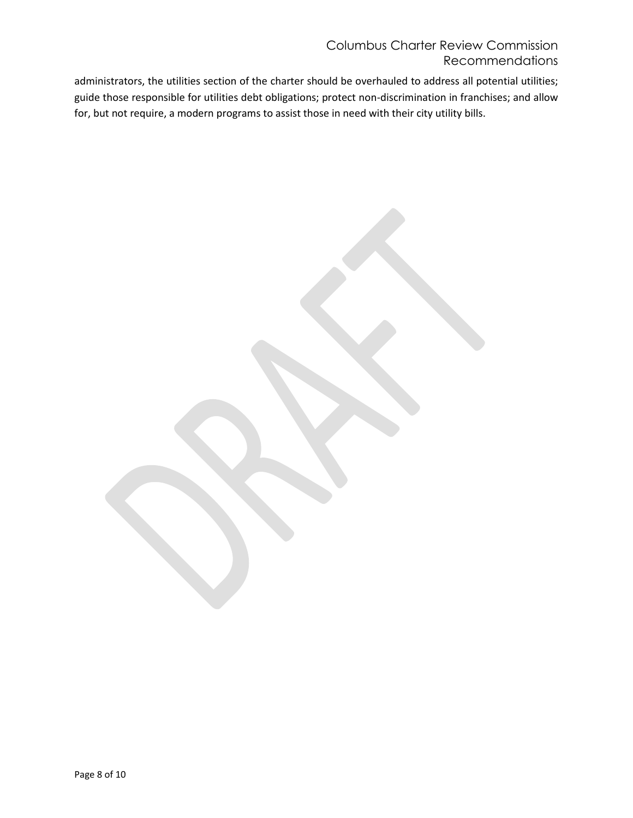# Columbus Charter Review Commission Recommendations

administrators, the utilities section of the charter should be overhauled to address all potential utilities; guide those responsible for utilities debt obligations; protect non-discrimination in franchises; and allow for, but not require, a modern programs to assist those in need with their city utility bills.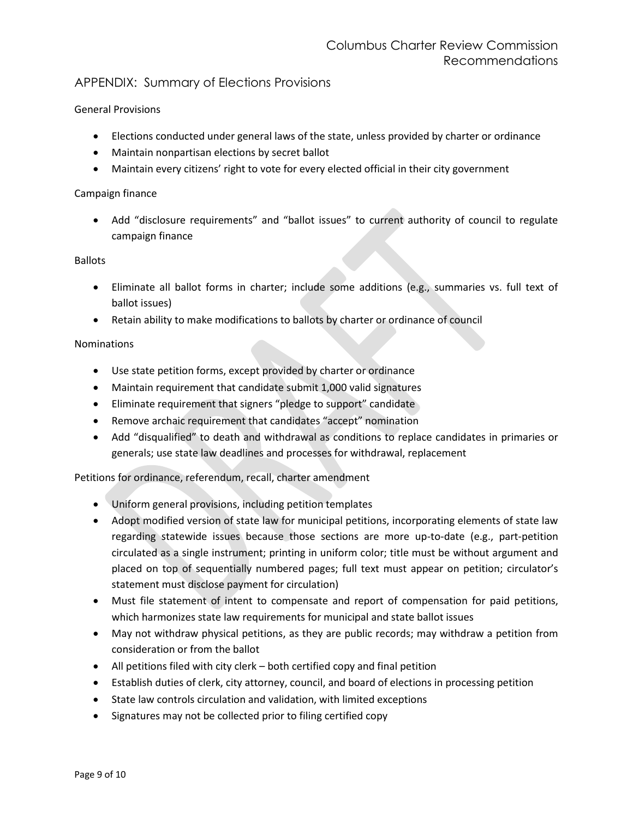# APPENDIX: Summary of Elections Provisions

# General Provisions

- Elections conducted under general laws of the state, unless provided by charter or ordinance
- Maintain nonpartisan elections by secret ballot
- Maintain every citizens' right to vote for every elected official in their city government

#### Campaign finance

 Add "disclosure requirements" and "ballot issues" to current authority of council to regulate campaign finance

#### Ballots

- Eliminate all ballot forms in charter; include some additions (e.g., summaries vs. full text of ballot issues)
- Retain ability to make modifications to ballots by charter or ordinance of council

## Nominations

- Use state petition forms, except provided by charter or ordinance
- Maintain requirement that candidate submit 1,000 valid signatures
- Eliminate requirement that signers "pledge to support" candidate
- Remove archaic requirement that candidates "accept" nomination
- Add "disqualified" to death and withdrawal as conditions to replace candidates in primaries or generals; use state law deadlines and processes for withdrawal, replacement

## Petitions for ordinance, referendum, recall, charter amendment

- Uniform general provisions, including petition templates
- Adopt modified version of state law for municipal petitions, incorporating elements of state law regarding statewide issues because those sections are more up-to-date (e.g., part-petition circulated as a single instrument; printing in uniform color; title must be without argument and placed on top of sequentially numbered pages; full text must appear on petition; circulator's statement must disclose payment for circulation)
- Must file statement of intent to compensate and report of compensation for paid petitions, which harmonizes state law requirements for municipal and state ballot issues
- May not withdraw physical petitions, as they are public records; may withdraw a petition from consideration or from the ballot
- All petitions filed with city clerk both certified copy and final petition
- Establish duties of clerk, city attorney, council, and board of elections in processing petition
- State law controls circulation and validation, with limited exceptions
- Signatures may not be collected prior to filing certified copy